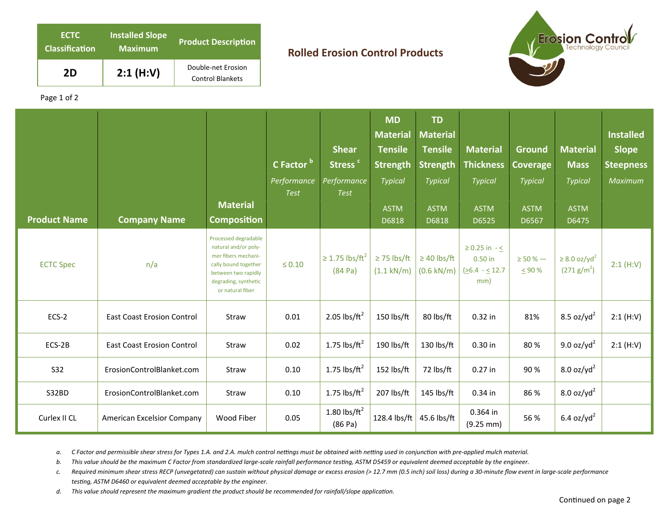| <b>ECTC</b><br><b>Classification</b> | <b>Installed Slope</b><br><b>Maximum</b> | <b>Product Description</b>                    |  |  |  |  |
|--------------------------------------|------------------------------------------|-----------------------------------------------|--|--|--|--|
| 2D                                   | 2:1(H:V)                                 | Double-net Erosion<br><b>Control Blankets</b> |  |  |  |  |

## **Rolled Erosion Control Products**



Page 1 of 2

| <b>Product Name</b> | <b>Company Name</b>               | <b>Material</b><br><b>Composition</b>                                                                                                                          | C Factor b<br><b>Performance</b><br><b>Test</b> | <b>Shear</b><br>Stress <sup>c</sup><br>Performance<br><b>Test</b> | <b>MD</b><br><b>Material</b><br><b>Tensile</b><br><b>Strength</b><br><b>Typical</b><br><b>ASTM</b><br>D6818 | <b>TD</b><br><b>Material</b><br><b>Tensile</b><br><b>Strength</b><br>Typical<br><b>ASTM</b><br>D6818 | <b>Material</b><br><b>Thickness</b><br><b>Typical</b><br><b>ASTM</b><br>D6525 | <b>Ground</b><br><b>Coverage</b><br><b>Typical</b><br><b>ASTM</b><br>D6567 | <b>Material</b><br><b>Mass</b><br><b>Typical</b><br><b>ASTM</b><br>D6475 | <b>Installed</b><br><b>Slope</b><br><b>Steepness</b><br>Maximum |
|---------------------|-----------------------------------|----------------------------------------------------------------------------------------------------------------------------------------------------------------|-------------------------------------------------|-------------------------------------------------------------------|-------------------------------------------------------------------------------------------------------------|------------------------------------------------------------------------------------------------------|-------------------------------------------------------------------------------|----------------------------------------------------------------------------|--------------------------------------------------------------------------|-----------------------------------------------------------------|
| <b>ECTC Spec</b>    | n/a                               | Processed degradable<br>natural and/or poly-<br>mer fibers mechani-<br>cally bound together<br>between two rapidly<br>degrading, synthetic<br>or natural fiber | $\leq 0.10$                                     | $\geq$ 1.75 lbs/ft <sup>2</sup><br>(84 Pa)                        | $\geq$ 75 lbs/ft<br>$(1.1 \text{ kN/m})$                                                                    | $\geq$ 40 lbs/ft<br>$(0.6$ kN/m)                                                                     | $\geq 0.25$ in $\sim$<br>$0.50$ in<br>$(26.4 - 5.12.7$<br>mm)                 | $\geq$ 50 % $-$<br>$\leq 90 \%$                                            | $\geq$ 8.0 oz/yd <sup>2</sup><br>(271 g/m <sup>2</sup> )                 | 2:1(H:V)                                                        |
| ECS-2               | <b>East Coast Erosion Control</b> | Straw                                                                                                                                                          | 0.01                                            | 2.05 lbs/ $ft^2$                                                  | 150 lbs/ft                                                                                                  | 80 lbs/ft                                                                                            | 0.32 in                                                                       | 81%                                                                        | 8.5 oz/yd <sup>2</sup>                                                   | 2:1(H:V)                                                        |
| ECS-2B              | <b>East Coast Erosion Control</b> | Straw                                                                                                                                                          | 0.02                                            | 1.75 $\text{lbs/ft}^2$                                            | 190 lbs/ft                                                                                                  | 130 lbs/ft                                                                                           | $0.30$ in                                                                     | 80%                                                                        | 9.0 oz/yd <sup>2</sup>                                                   | 2:1(H:V)                                                        |
| S32                 | ErosionControlBlanket.com         | Straw                                                                                                                                                          | 0.10                                            | 1.75 $\text{lbs/ft}^2$                                            | 152 lbs/ft                                                                                                  | 72 lbs/ft                                                                                            | $0.27$ in                                                                     | 90%                                                                        | $8.0$ oz/yd <sup>2</sup>                                                 |                                                                 |
| S32BD               | ErosionControlBlanket.com         | Straw                                                                                                                                                          | 0.10                                            | 1.75 $\text{lbs/ft}^2$                                            | 207 lbs/ft                                                                                                  | 145 lbs/ft                                                                                           | 0.34 in                                                                       | 86 %                                                                       | 8.0 oz/yd <sup>2</sup>                                                   |                                                                 |
| Curlex II CL        | American Excelsior Company        | Wood Fiber                                                                                                                                                     | 0.05                                            | 1.80 $\text{lbs/ft}^2$<br>(86 Pa)                                 | 128.4 lbs/ft                                                                                                | 45.6 lbs/ft                                                                                          | 0.364 in<br>$(9.25 \, \text{mm})$                                             | 56 %                                                                       | 6.4 oz/yd <sup>2</sup>                                                   |                                                                 |

a. C Factor and permissible shear stress for Types 1.A. and 2.A. mulch control nettings must be obtained with netting used in conjunction with pre-applied mulch material.

b. This value should be the maximum C Factor from standardized large-scale rainfall performance testing, ASTM D5459 or equivalent deemed acceptable by the engineer.

*c. Required minimum shear stress RECP (unvegetated) can sustain without physical damage or excess erosion (> 12.7 mm (0.5 inch) soil loss) during a 30‐minute flow event in large‐scale performance*  testing, ASTM D6460 or equivalent deemed acceptable by the engineer.

d. This value should represent the maximum gradient the product should be recommended for rainfall/slope application.